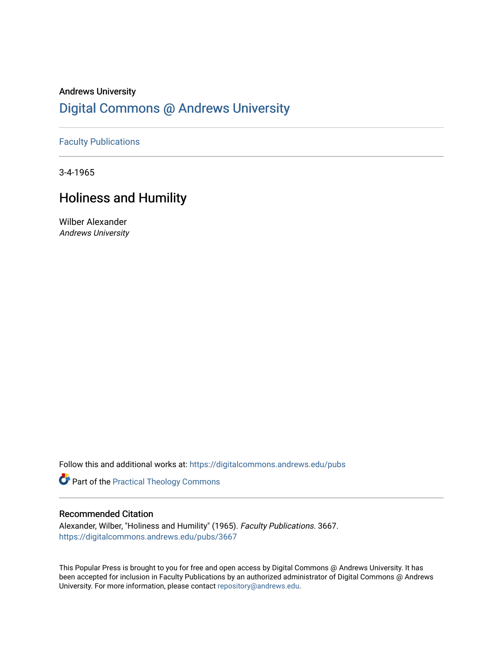## Andrews University [Digital Commons @ Andrews University](https://digitalcommons.andrews.edu/)

### [Faculty Publications](https://digitalcommons.andrews.edu/pubs)

3-4-1965

## Holiness and Humility

Wilber Alexander Andrews University

Follow this and additional works at: [https://digitalcommons.andrews.edu/pubs](https://digitalcommons.andrews.edu/pubs?utm_source=digitalcommons.andrews.edu%2Fpubs%2F3667&utm_medium=PDF&utm_campaign=PDFCoverPages) 

Part of the [Practical Theology Commons](http://network.bepress.com/hgg/discipline/1186?utm_source=digitalcommons.andrews.edu%2Fpubs%2F3667&utm_medium=PDF&utm_campaign=PDFCoverPages)

#### Recommended Citation

Alexander, Wilber, "Holiness and Humility" (1965). Faculty Publications. 3667. [https://digitalcommons.andrews.edu/pubs/3667](https://digitalcommons.andrews.edu/pubs/3667?utm_source=digitalcommons.andrews.edu%2Fpubs%2F3667&utm_medium=PDF&utm_campaign=PDFCoverPages) 

This Popular Press is brought to you for free and open access by Digital Commons @ Andrews University. It has been accepted for inclusion in Faculty Publications by an authorized administrator of Digital Commons @ Andrews University. For more information, please contact [repository@andrews.edu](mailto:repository@andrews.edu).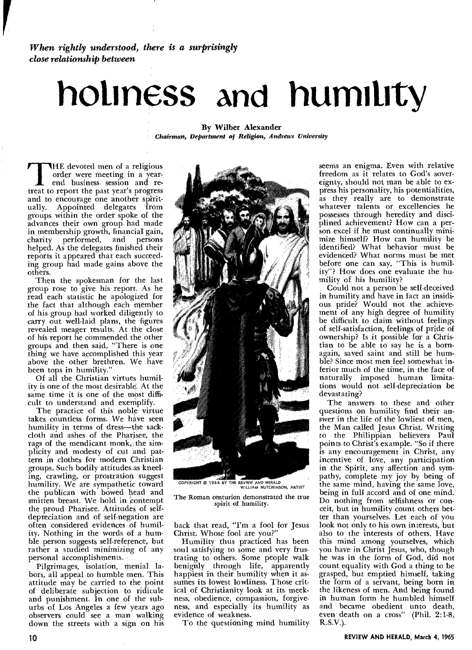*When rightly understood, there is a surprisingly close relationship between* 

# **holiness and humility**

By Wilber Alexander *Chairman, Department of Religion, Andrews University* 

THE devoted men of a religious order were meeting in a year-<br>end business session and re-<br>treat to report the past year's progress order were meeting in a yearend business session and reand to encourage one another spiritually. Appointed delegates from groups within the order spoke of the advances their own group had made in membership growth, financial gain, charity performed, and persons helped. As the delegates finished their reports it appeared that each succeeding group had made gains above the others.

Then the spokesman for the last group rose to give his report. As he read each statistic he apologized for the fact that although each member of his group had worked diligently to carry out well-laid plans, the figures revealed meager results. At the close of his report he commended the other groups and then said, "There is one thing we have accomplished this year above the other brethren. We have been tops in humility.'

Of all the Christian virtues humility is one of the most desirable. At the same time it is one of the most difficult to understand and exemplify.

The practice of this noble virtue takes countless forms. We have seen humility in terms of dress—the sackcloth and ashes of the Pharisee, the rags of the mendicant monk, the simplicity and modesty of cut and pattern in clothes for modern Christian groups. Such bodily attitudes as kneeling, crawling, or prostration suggest humility. We are sympathetic toward the publican with bowed head and smitten breast. We hold in contempt the proud Pharisee. Attitudes of selfdepreciation and of self-negation are often considered evidences of humility. Nothing in the words of a humble person suggests self-reference, but rather a studied minimizing of any personal accomplishments.

Pilgrimages, isolation, menial labors, all appeal to humble men. This attitude may be carried to the point of deliberate subjection to ridicule and punishment. In one of the suburbs of Los Angeles a few years ago observers could see a man walking down the streets with a sign on his



COPYRIGHT © 1956 BY THE REVIEW AND HERALD WILLIAM HUTCHINSON, ARTIST

The Roman centurion demonstrated the true spirit of humility.

back that read, "I'm a fool for Jesus Christ. Whose fool are you?"

Humility thus practiced has been soul satisfying to some and very frustrating to others. Some people walk benignly through life, apparently happiest in their humility when it assumes its lowest lowliness. Those critical of Christianity look at its meekness, obedience, compassion, forgiveness, and especially its humility as evidence of weakness.

To the questioning mind humility

seems an enigma. Even with relative freedom as it relates to God's sovereignty, should not man be able to express his personality, his potentialities, as they really are to demonstrate whatever talents or excellencies he possesses through heredity and disciplined achievement? How can a person excel if he must continually minimize himself? How can humility be identified? What behavior must be evidenced? What norms must be met before one can say, "This is humility"? How does one evaluate the humility of his humility?

Could not a person be self-deceived in humility and have in fact an insidious pride? Would not the achievement of any high degree of humility be difficult to claim without feelings of self-satisfaction, feelings of pride of ownership? Is it possible for a Christian to be able to say he is a bornagain, saved saint and still be humble? Since most men feel somewhat inferior much of the time, in the face of naturally imposed human limitations would not self-depreciation be devastating?

The answers to these and other questions on humility find their answer in the life of the lowliest of men, the Man called Jesus Christ. Writing to the Philippian believers Paul points to Christ's example. "So if there is any encouragement in Christ, any incentive of love, any participation in the Spirit, any affection and sympathy, complete my joy by being of the same mind, having the same love, being in full accord and of one mind. Do nothing from selfishness or conceit, but in humility count others better than yourselves. Let each of you look not only to his own interests, but also to the interests of others. Have this mind among yourselves, which you have in Christ Jesus, who, though he was in the form of God, did not count equality with God a thing to be grasped, but emptied himself, taking the form of a servant, being born in the likeness of men. And being found in human form he humbled himself and became obedient unto death, even death on a cross" (Phil. 2:1-8, R.S.V.).